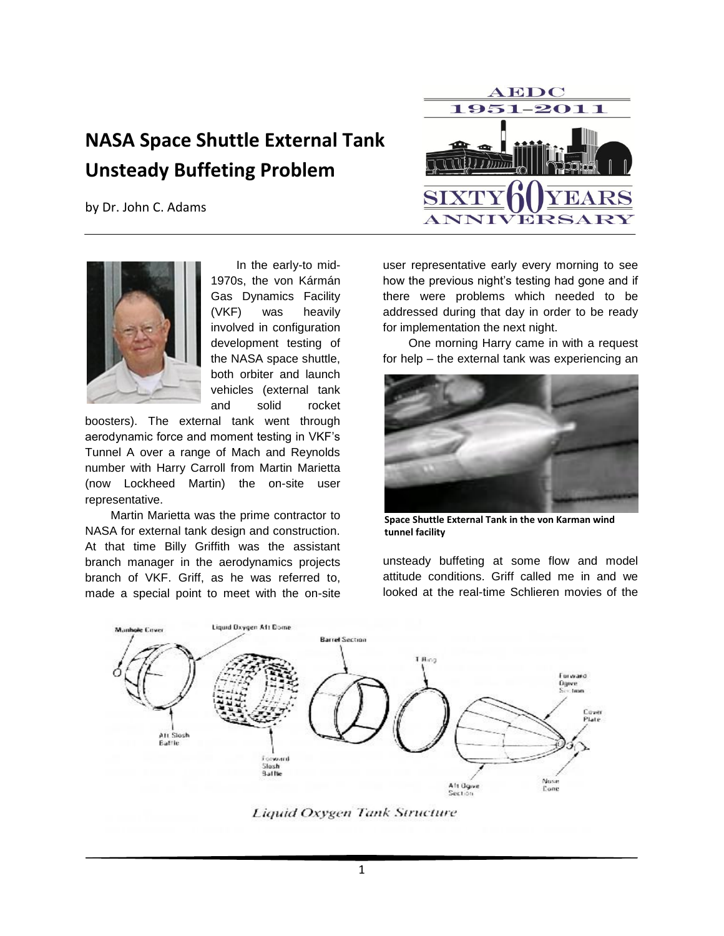## **NASA Space Shuttle External Tank Unsteady Buffeting Problem**

by Dr. John C. Adams



In the early-to mid-1970s, the von Kármán Gas Dynamics Facility (VKF) was heavily involved in configuration development testing of the NASA space shuttle, both orbiter and launch vehicles (external tank and solid rocket

boosters). The external tank went through aerodynamic force and moment testing in VKF's Tunnel A over a range of Mach and Reynolds number with Harry Carroll from Martin Marietta (now Lockheed Martin) the on-site user representative.

Martin Marietta was the prime contractor to NASA for external tank design and construction. At that time Billy Griffith was the assistant branch manager in the aerodynamics projects branch of VKF. Griff, as he was referred to, made a special point to meet with the on-site



user representative early every morning to see how the previous night's testing had gone and if there were problems which needed to be addressed during that day in order to be ready for implementation the next night.

One morning Harry came in with a request for help – the external tank was experiencing an



**Space Shuttle External Tank in the von Karman wind tunnel facility**

unsteady buffeting at some flow and model attitude conditions. Griff called me in and we looked at the real-time Schlieren movies of the



**Liquid Oxygen Tank Structure**